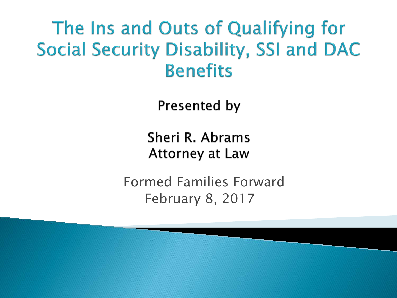#### The Ins and Outs of Qualifying for **Social Security Disability, SSI and DAC Benefits**

**Presented by** 

Sheri R. Abrams **Attorney at Law** 

Formed Families Forward February 8, 2017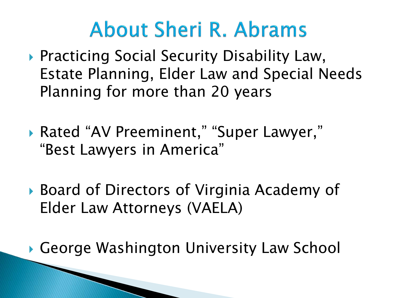### **About Sheri R. Abrams**

- ▶ Practicing Social Security Disability Law, Estate Planning, Elder Law and Special Needs Planning for more than 20 years
- ▶ Rated "AV Preeminent," "Super Lawyer," "Best Lawyers in America"
- ▶ Board of Directors of Virginia Academy of Elder Law Attorneys (VAELA)

George Washington University Law School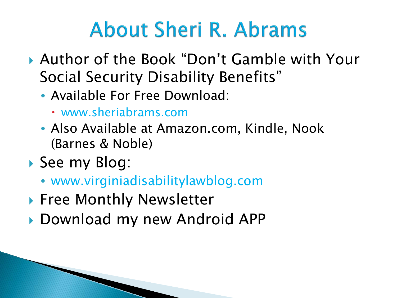# **About Sheri R. Abrams**

- Author of the Book "Don't Gamble with Your Social Security Disability Benefits"
	- Available For Free Download:
		- www.sheriabrams.com
	- Also Available at Amazon.com, Kindle, Nook (Barnes & Noble)
- See my Blog:
	- www.virginiadisabilitylawblog.com
- ▶ Free Monthly Newsletter
- Download my new Android APP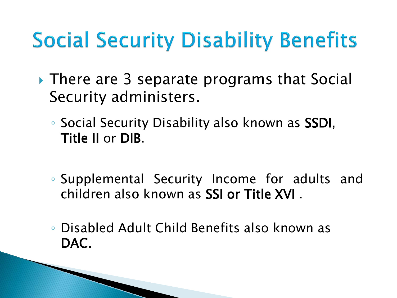# **Social Security Disability Benefits**

- ▸ There are 3 separate programs that Social Security administers.
	- Social Security Disability also known as SSDI, Title II or DIB.
	- Supplemental Security Income for adults and children also known as SSI or Title XVI .
	- Disabled Adult Child Benefits also known as DAC.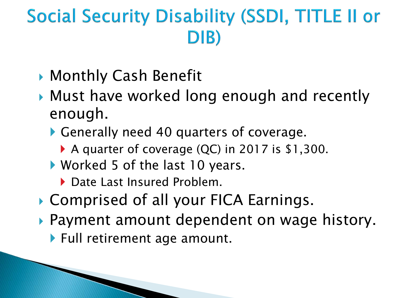#### Social Security Disability (SSDI, TITLE II or  $D(B)$

- ▶ Monthly Cash Benefit
- Must have worked long enough and recently enough.
	- Generally need 40 quarters of coverage.
		- ▶ A quarter of coverage (QC) in 2017 is \$1,300.
	- Worked 5 of the last 10 years.
		- ▶ Date Last Insured Problem.
- ▶ Comprised of all your FICA Earnings.
- Payment amount dependent on wage history.
	- ▶ Full retirement age amount.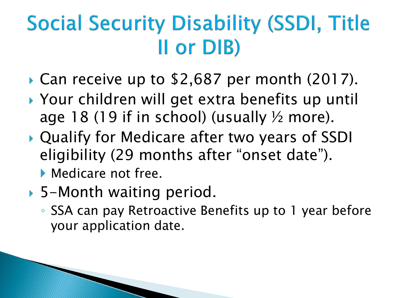# **Social Security Disability (SSDI, Title** II or DIB)

- Can receive up to \$2,687 per month (2017).
- ▶ Your children will get extra benefits up until age 18 (19 if in school) (usually  $\frac{1}{2}$  more).
- Qualify for Medicare after two years of SSDI eligibility (29 months after "onset date").
	- **Medicare not free.**
- ▶ 5-Month waiting period.
	- SSA can pay Retroactive Benefits up to 1 year before your application date.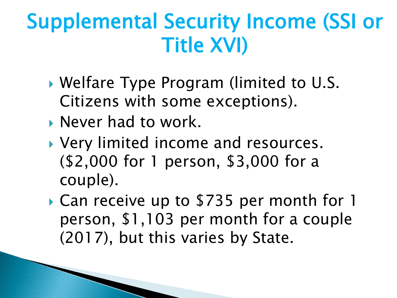### Supplemental Security Income (SSI or Title XVI)

- Welfare Type Program (limited to U.S. Citizens with some exceptions).
- Never had to work.
- ▶ Very limited income and resources. (\$2,000 for 1 person, \$3,000 for a couple).
- Can receive up to \$735 per month for 1 person, \$1,103 per month for a couple (2017), but this varies by State.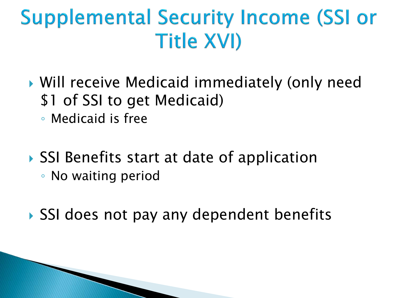### **Supplemental Security Income (SSI or Title XVI)**

- Will receive Medicaid immediately (only need \$1 of SSI to get Medicaid)
	- Medicaid is free
- ▶ SSI Benefits start at date of application ◦ No waiting period
- ▶ SSI does not pay any dependent benefits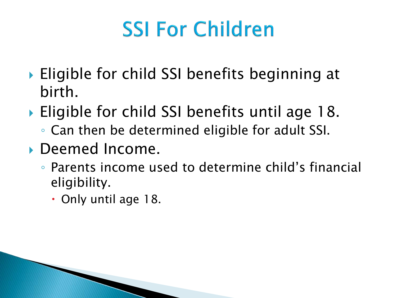# **SSI For Children**

- ▶ Eligible for child SSI benefits beginning at birth.
- ▶ Eligible for child SSI benefits until age 18.
	- Can then be determined eligible for adult SSI.
- Deemed Income.
	- Parents income used to determine child's financial eligibility.
		- Only until age 18.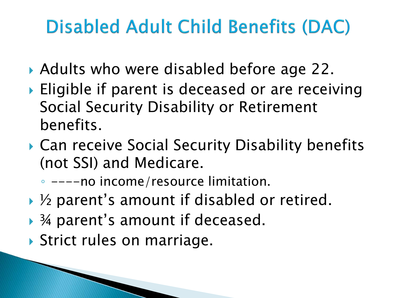### **Disabled Adult Child Benefits (DAC)**

- ▶ Adults who were disabled before age 22.
- ▶ Eligible if parent is deceased or are receiving Social Security Disability or Retirement benefits.
- ▶ Can receive Social Security Disability benefits (not SSI) and Medicare.

◦ ----no income/resource limitation.

- ▶ ½ parent's amount if disabled or retired.
- ▶ ¾ parent's amount if deceased.
- ▶ Strict rules on marriage.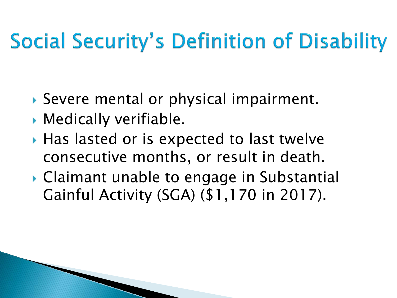# **Social Security's Definition of Disability**

- Severe mental or physical impairment.
- Medically verifiable.
- ▶ Has lasted or is expected to last twelve consecutive months, or result in death.
- Claimant unable to engage in Substantial Gainful Activity (SGA) (\$1,170 in 2017).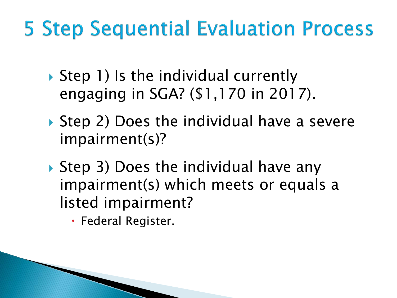### **5 Step Sequential Evaluation Process**

- ▶ Step 1) Is the individual currently engaging in SGA? (\$1,170 in 2017).
- ▶ Step 2) Does the individual have a severe impairment(s)?
- ▶ Step 3) Does the individual have any impairment(s) which meets or equals a listed impairment?
	- Federal Register.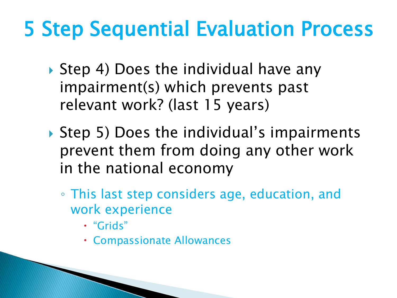# 5 Step Sequential Evaluation Process

- ▶ Step 4) Does the individual have any impairment(s) which prevents past relevant work? (last 15 years)
- ▶ Step 5) Does the individual's impairments prevent them from doing any other work in the national economy
	- This last step considers age, education, and work experience
		- "Grids"
		- Compassionate Allowances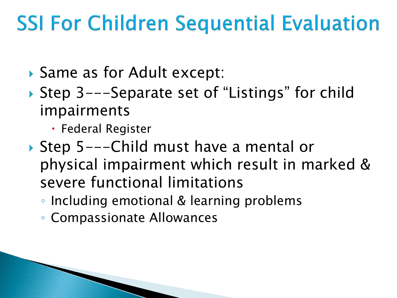# **SSI For Children Sequential Evaluation**

- ▶ Same as for Adult except:
- ▶ Step 3---Separate set of "Listings" for child impairments
	- Federal Register
- ▶ Step 5---Child must have a mental or physical impairment which result in marked & severe functional limitations
	- Including emotional & learning problems
	- Compassionate Allowances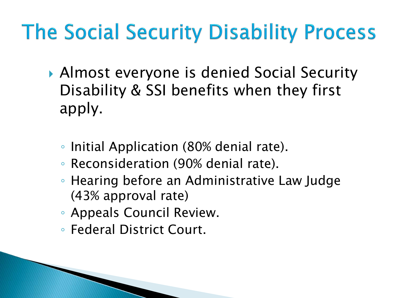# The Social Security Disability Process

- Almost everyone is denied Social Security Disability & SSI benefits when they first apply.
	- Initial Application (80% denial rate).
	- Reconsideration (90% denial rate).
	- Hearing before an Administrative Law Judge (43% approval rate)
	- Appeals Council Review.
	- Federal District Court.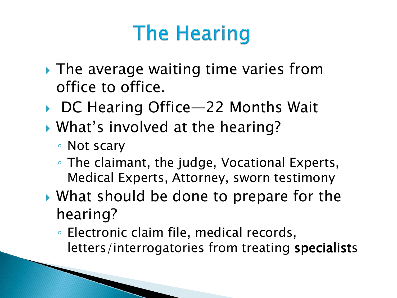# **The Hearing**

- ▶ The average waiting time varies from office to office.
- ▶ DC Hearing Office—22 Months Wait
- What's involved at the hearing?
	- Not scary
	- The claimant, the judge, Vocational Experts, Medical Experts, Attorney, sworn testimony
- ▶ What should be done to prepare for the hearing?
	- Electronic claim file, medical records, letters/interrogatories from treating specialists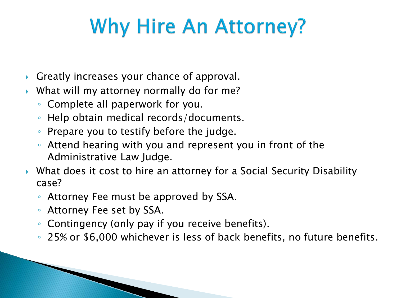# **Why Hire An Attorney?**

- Greatly increases your chance of approval.
- What will my attorney normally do for me?
	- Complete all paperwork for you.
	- Help obtain medical records/documents.
	- Prepare you to testify before the judge.
	- Attend hearing with you and represent you in front of the Administrative Law Judge.
- What does it cost to hire an attorney for a Social Security Disability case?
	- Attorney Fee must be approved by SSA.
	- Attorney Fee set by SSA.
	- Contingency (only pay if you receive benefits).
	- 25% or \$6,000 whichever is less of back benefits, no future benefits.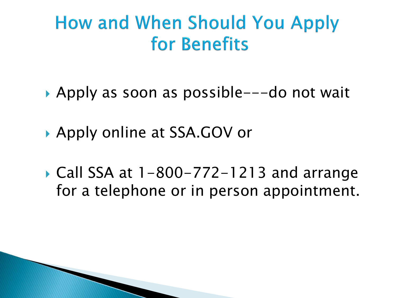#### **How and When Should You Apply** for Benefits

- ▶ Apply as soon as possible---do not wait
- ▶ Apply online at SSA.GOV or
- Call SSA at 1-800-772-1213 and arrange for a telephone or in person appointment.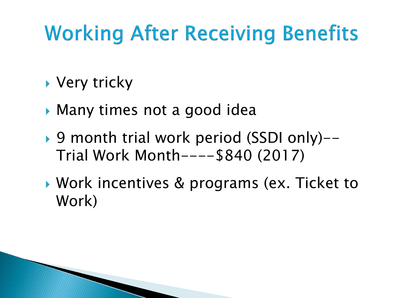# **Working After Receiving Benefits**

- ▶ Very tricky
- Many times not a good idea
- ▶ 9 month trial work period (SSDI only)--Trial Work Month----\$840 (2017)
- ▶ Work incentives & programs (ex. Ticket to Work)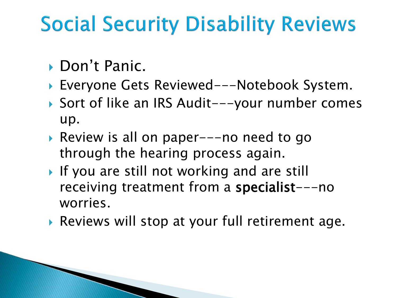# **Social Security Disability Reviews**

- ▶ Don't Panic.
- ▶ Everyone Gets Reviewed---Notebook System.
- ▶ Sort of like an IRS Audit---your number comes up.
- Review is all on paper---no need to go through the hearing process again.
- If you are still not working and are still receiving treatment from a specialist---no worries.
- Reviews will stop at your full retirement age.